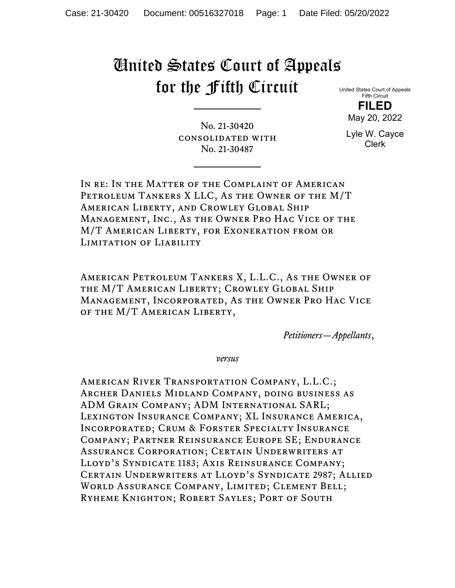## United States Court of Appeals for the Fifth Circuit

United States Court of Appeals Fifth Circuit

**FILED** May 20, 2022

No. 21-30420 consolidated with No. 21-30487

Lyle W. Cayce Clerk

In re: In the Matter of the Complaint of American Petroleum Tankers X LLC, As the Owner of the M/T American Liberty, and Crowley Global Ship Management, Inc., As the Owner Pro Hac Vice of the M/T American Liberty, for Exoneration from or Limitation of Liability

American Petroleum Tankers X, L.L.C., As the Owner of the M/T American Liberty; Crowley Global Ship Management, Incorporated, As the Owner Pro Hac Vice of the M/T American Liberty,

*Petitioners—Appellants*,

*versus*

American River Transportation Company, L.L.C.; Archer Daniels Midland Company, doing business as ADM Grain Company; ADM International SARL; Lexington Insurance Company; XL Insurance America, Incorporated; Crum & Forster Specialty Insurance Company; Partner Reinsurance Europe SE; Endurance Assurance Corporation; Certain Underwriters at Lloyd's Syndicate 1183; Axis Reinsurance Company; Certain Underwriters at Lloyd's Syndicate 2987; Allied World Assurance Company, Limited; Clement Bell; Ryheme Knighton; Robert Sayles; Port of South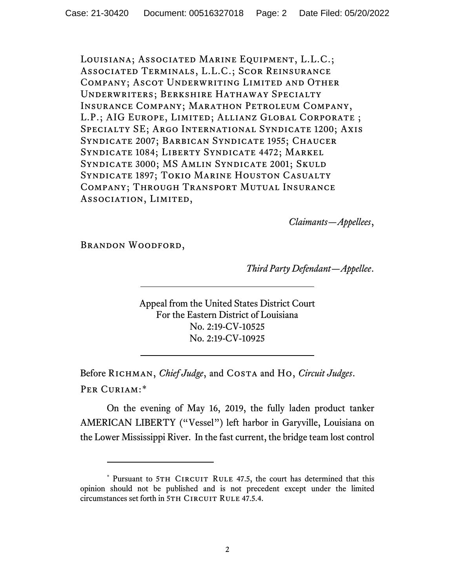Louisiana; Associated Marine Equipment, L.L.C.; Associated Terminals, L.L.C.; Scor Reinsurance Company; Ascot Underwriting Limited and Other Underwriters; Berkshire Hathaway Specialty Insurance Company; Marathon Petroleum Company, L.P.; AIG EUROPE, LIMITED; ALLIANZ GLOBAL CORPORATE; Specialty SE; Argo International Syndicate 1200; Axis Syndicate 2007; Barbican Syndicate 1955; Chaucer Syndicate 1084; Liberty Syndicate 4472; Markel Syndicate 3000; MS Amlin Syndicate 2001; Skuld Syndicate 1897; Tokio Marine Houston Casualty Company; Through Transport Mutual Insurance ASSOCIATION, LIMITED,

*Claimants—Appellees*,

Brandon Woodford,

*Third Party Defendant—Appellee*.

Appeal from the United States District Court For the Eastern District of Louisiana No. 2:19-CV-10525 No. 2:19-CV-10925

Before Richman, *Chief Judge*, and Costa and Ho, *Circuit Judges*. Per Curiam:[\\*](#page-1-0)

On the evening of May 16, 2019, the fully laden product tanker AMERICAN LIBERTY ("Vessel") left harbor in Garyville, Louisiana on the Lower Mississippi River. In the fast current, the bridge team lost control

<span id="page-1-0"></span><sup>\*</sup> Pursuant to 5TH CIRCUIT RULE 47.5, the court has determined that this opinion should not be published and is not precedent except under the limited circumstances set forth in 5TH CIRCUIT RULE 47.5.4.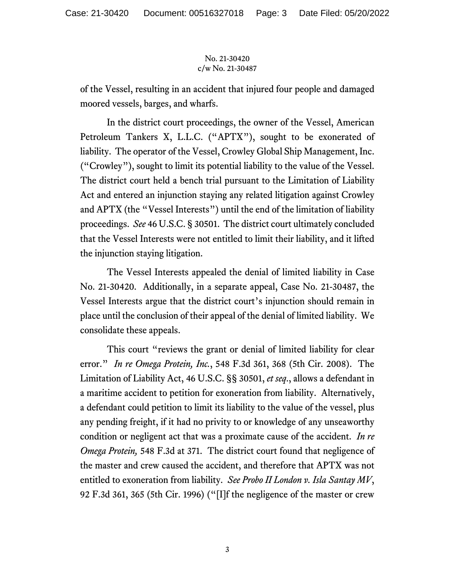## No. 21-30420 c/w No. 21-30487

of the Vessel, resulting in an accident that injured four people and damaged moored vessels, barges, and wharfs.

In the district court proceedings, the owner of the Vessel, American Petroleum Tankers X, L.L.C. ("APTX"), sought to be exonerated of liability. The operator of the Vessel, Crowley Global Ship Management, Inc. ("Crowley"), sought to limit its potential liability to the value of the Vessel. The district court held a bench trial pursuant to the Limitation of Liability Act and entered an injunction staying any related litigation against Crowley and APTX (the "Vessel Interests") until the end of the limitation of liability proceedings. *See* 46 U.S.C. § 30501. The district court ultimately concluded that the Vessel Interests were not entitled to limit their liability, and it lifted the injunction staying litigation.

The Vessel Interests appealed the denial of limited liability in Case No. 21-30420. Additionally, in a separate appeal, Case No. 21-30487, the Vessel Interests argue that the district court's injunction should remain in place until the conclusion of their appeal of the denial of limited liability. We consolidate these appeals.

This court "reviews the grant or denial of limited liability for clear error." *In re Omega Protein, Inc.*, 548 F.3d 361, 368 (5th Cir. 2008). The Limitation of Liability Act, 46 U.S.C. §§ 30501, *et seq*., allows a defendant in a maritime accident to petition for exoneration from liability. Alternatively, a defendant could petition to limit its liability to the value of the vessel, plus any pending freight, if it had no privity to or knowledge of any unseaworthy condition or negligent act that was a proximate cause of the accident. *In re Omega Protein,* 548 F.3d at 371. The district court found that negligence of the master and crew caused the accident, and therefore that APTX was not entitled to exoneration from liability. *See Probo II London v. Isla Santay MV*, 92 F.3d 361, 365 (5th Cir. 1996) ("[I]f the negligence of the master or crew